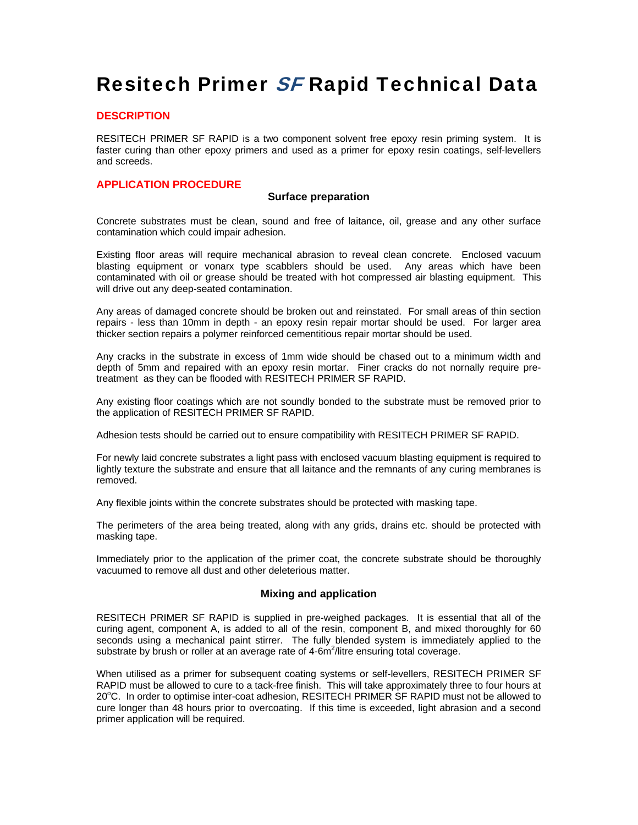# Resitech Primer SF Rapid Technical Data

## **DESCRIPTION**

RESITECH PRIMER SF RAPID is a two component solvent free epoxy resin priming system. It is faster curing than other epoxy primers and used as a primer for epoxy resin coatings, self-levellers and screeds.

## **APPLICATION PROCEDURE**

#### **Surface preparation**

Concrete substrates must be clean, sound and free of laitance, oil, grease and any other surface contamination which could impair adhesion.

Existing floor areas will require mechanical abrasion to reveal clean concrete. Enclosed vacuum blasting equipment or vonarx type scabblers should be used. Any areas which have been contaminated with oil or grease should be treated with hot compressed air blasting equipment. This will drive out any deep-seated contamination.

Any areas of damaged concrete should be broken out and reinstated. For small areas of thin section repairs - less than 10mm in depth - an epoxy resin repair mortar should be used. For larger area thicker section repairs a polymer reinforced cementitious repair mortar should be used.

Any cracks in the substrate in excess of 1mm wide should be chased out to a minimum width and depth of 5mm and repaired with an epoxy resin mortar. Finer cracks do not nornally require pretreatment as they can be flooded with RESITECH PRIMER SF RAPID.

Any existing floor coatings which are not soundly bonded to the substrate must be removed prior to the application of RESITECH PRIMER SF RAPID.

Adhesion tests should be carried out to ensure compatibility with RESITECH PRIMER SF RAPID.

For newly laid concrete substrates a light pass with enclosed vacuum blasting equipment is required to lightly texture the substrate and ensure that all laitance and the remnants of any curing membranes is removed.

Any flexible joints within the concrete substrates should be protected with masking tape.

The perimeters of the area being treated, along with any grids, drains etc. should be protected with masking tape.

Immediately prior to the application of the primer coat, the concrete substrate should be thoroughly vacuumed to remove all dust and other deleterious matter.

#### **Mixing and application**

RESITECH PRIMER SF RAPID is supplied in pre-weighed packages. It is essential that all of the curing agent, component A, is added to all of the resin, component B, and mixed thoroughly for 60 seconds using a mechanical paint stirrer. The fully blended system is immediately applied to the substrate by brush or roller at an average rate of 4-6 $m^2$ /litre ensuring total coverage.

When utilised as a primer for subsequent coating systems or self-levellers, RESITECH PRIMER SF RAPID must be allowed to cure to a tack-free finish. This will take approximately three to four hours at 20°C. In order to optimise inter-coat adhesion, RESITECH PRIMER SF RAPID must not be allowed to cure longer than 48 hours prior to overcoating. If this time is exceeded, light abrasion and a second primer application will be required.